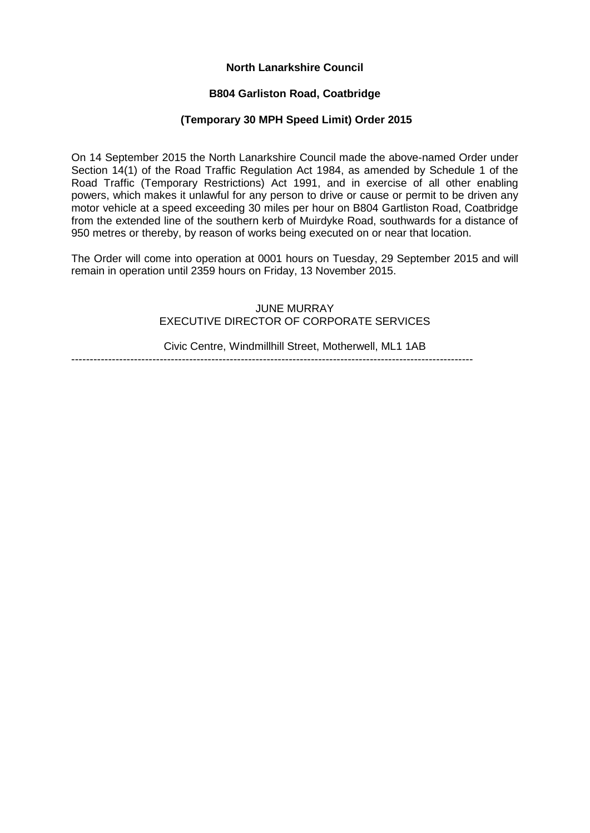# **North Lanarkshire Council**

## **B804 Garliston Road, Coatbridge**

### **(Temporary 30 MPH Speed Limit) Order 2015**

On 14 September 2015 the North Lanarkshire Council made the above-named Order under Section 14(1) of the Road Traffic Regulation Act 1984, as amended by Schedule 1 of the Road Traffic (Temporary Restrictions) Act 1991, and in exercise of all other enabling powers, which makes it unlawful for any person to drive or cause or permit to be driven any motor vehicle at a speed exceeding 30 miles per hour on B804 Gartliston Road, Coatbridge from the extended line of the southern kerb of Muirdyke Road, southwards for a distance of 950 metres or thereby, by reason of works being executed on or near that location.

The Order will come into operation at 0001 hours on Tuesday, 29 September 2015 and will remain in operation until 2359 hours on Friday, 13 November 2015.

#### JUNE MURRAY EXECUTIVE DIRECTOR OF CORPORATE SERVICES

-------------------------------------------------------------------------------------------------------------

Civic Centre, Windmillhill Street, Motherwell, ML1 1AB